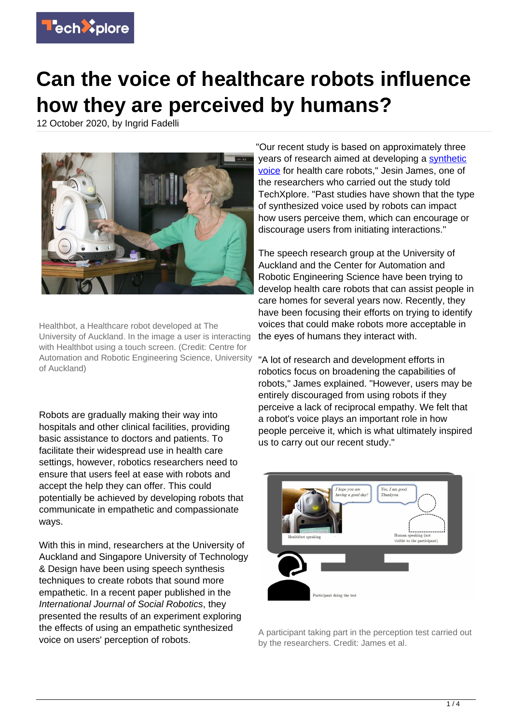

## **Can the voice of healthcare robots influence how they are perceived by humans?**

12 October 2020, by Ingrid Fadelli



Healthbot, a Healthcare robot developed at The University of Auckland. In the image a user is interacting with Healthbot using a touch screen. (Credit: Centre for Automation and Robotic Engineering Science, University of Auckland)

Robots are gradually making their way into hospitals and other clinical facilities, providing basic assistance to doctors and patients. To facilitate their widespread use in health care settings, however, robotics researchers need to ensure that users feel at ease with robots and accept the help they can offer. This could potentially be achieved by developing robots that communicate in empathetic and compassionate ways.

With this in mind, researchers at the University of Auckland and Singapore University of Technology & Design have been using speech synthesis techniques to create robots that sound more empathetic. In a recent paper published in the International Journal of Social Robotics, they presented the results of an experiment exploring the effects of using an empathetic synthesized voice on users' perception of robots.

"Our recent study is based on approximately three years of research aimed at developing a [synthetic](https://techxplore.com/tags/synthetic+voice/) [voice](https://techxplore.com/tags/synthetic+voice/) for health care robots," Jesin James, one of the researchers who carried out the study told TechXplore. "Past studies have shown that the type of synthesized voice used by robots can impact how users perceive them, which can encourage or discourage users from initiating interactions."

The speech research group at the University of Auckland and the Center for Automation and Robotic Engineering Science have been trying to develop health care robots that can assist people in care homes for several years now. Recently, they have been focusing their efforts on trying to identify voices that could make robots more acceptable in the eyes of humans they interact with.

"A lot of research and development efforts in robotics focus on broadening the capabilities of robots," James explained. "However, users may be entirely discouraged from using robots if they perceive a lack of reciprocal empathy. We felt that a robot's voice plays an important role in how people perceive it, which is what ultimately inspired us to carry out our recent study."



A participant taking part in the perception test carried out by the researchers. Credit: James et al.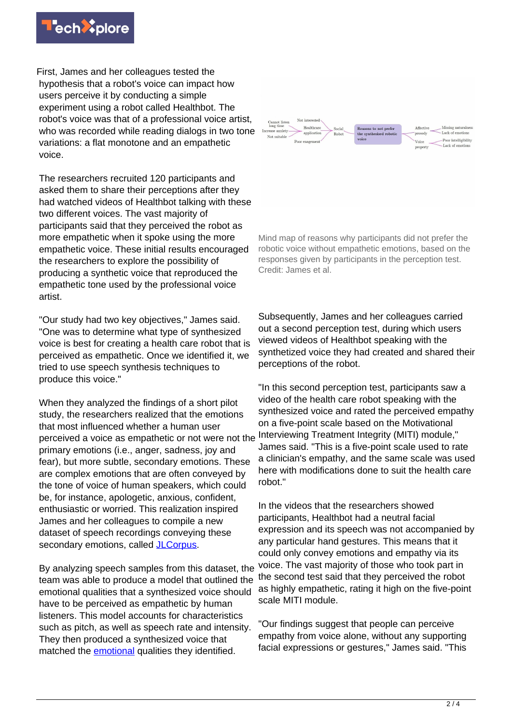

First, James and her colleagues tested the hypothesis that a robot's voice can impact how users perceive it by conducting a simple experiment using a robot called Healthbot. The robot's voice was that of a professional voice artist, who was recorded while reading dialogs in two tone variations: a flat monotone and an empathetic voice.

The researchers recruited 120 participants and asked them to share their perceptions after they had watched videos of Healthbot talking with these two different voices. The vast majority of participants said that they perceived the robot as more empathetic when it spoke using the more empathetic voice. These initial results encouraged the researchers to explore the possibility of producing a synthetic voice that reproduced the empathetic tone used by the professional voice artist.

"Our study had two key objectives," James said. "One was to determine what type of synthesized voice is best for creating a health care robot that is perceived as empathetic. Once we identified it, we tried to use speech synthesis techniques to produce this voice."

When they analyzed the findings of a short pilot study, the researchers realized that the emotions that most influenced whether a human user perceived a voice as empathetic or not were not the primary emotions (i.e., anger, sadness, joy and fear), but more subtle, secondary emotions. These are complex emotions that are often conveyed by the tone of voice of human speakers, which could be, for instance, apologetic, anxious, confident, enthusiastic or worried. This realization inspired James and her colleagues to compile a new dataset of speech recordings conveying these secondary emotions, called **JLCorpus**.

By analyzing speech samples from this dataset, the team was able to produce a model that outlined the emotional qualities that a synthesized voice should have to be perceived as empathetic by human listeners. This model accounts for characteristics such as pitch, as well as speech rate and intensity. They then produced a synthesized voice that matched the [emotional](https://techxplore.com/tags/emotional/) qualities they identified.



Mind map of reasons why participants did not prefer the robotic voice without empathetic emotions, based on the responses given by participants in the perception test. Credit: James et al.

Subsequently, James and her colleagues carried out a second perception test, during which users viewed videos of Healthbot speaking with the synthetized voice they had created and shared their perceptions of the robot.

"In this second perception test, participants saw a video of the health care robot speaking with the synthesized voice and rated the perceived empathy on a five-point scale based on the Motivational Interviewing Treatment Integrity (MITI) module," James said. "This is a five-point scale used to rate a clinician's empathy, and the same scale was used here with modifications done to suit the health care robot."

In the videos that the researchers showed participants, Healthbot had a neutral facial expression and its speech was not accompanied by any particular hand gestures. This means that it could only convey emotions and empathy via its voice. The vast majority of those who took part in the second test said that they perceived the robot as highly empathetic, rating it high on the five-point scale MITI module.

"Our findings suggest that people can perceive empathy from voice alone, without any supporting facial expressions or gestures," James said. "This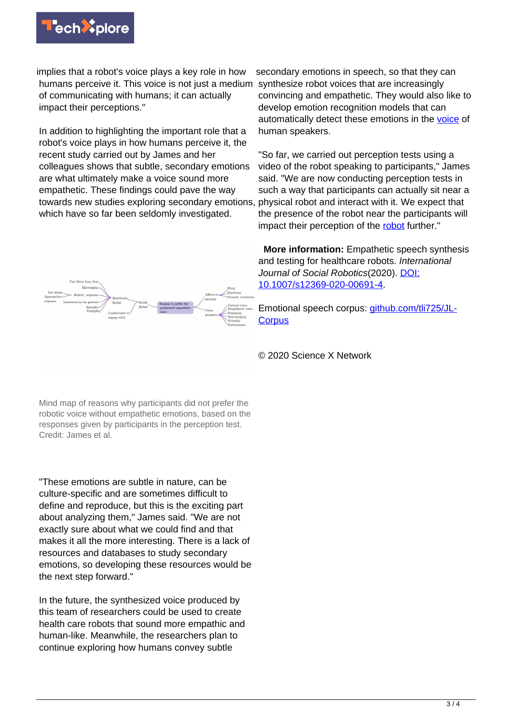

implies that a robot's voice plays a key role in how humans perceive it. This voice is not just a medium of communicating with humans; it can actually impact their perceptions."

In addition to highlighting the important role that a robot's voice plays in how humans perceive it, the recent study carried out by James and her colleagues shows that subtle, secondary emotions are what ultimately make a voice sound more empathetic. These findings could pave the way towards new studies exploring secondary emotions, which have so far been seldomly investigated.

secondary emotions in speech, so that they can synthesize robot voices that are increasingly convincing and empathetic. They would also like to develop emotion recognition models that can automatically detect these emotions in the [voice](https://techxplore.com/tags/voice/) of human speakers.

"So far, we carried out perception tests using a video of the robot speaking to participants," James said. "We are now conducting perception tests in such a way that participants can actually sit near a physical robot and interact with it. We expect that the presence of the robot near the participants will impact their perception of the [robot](https://techxplore.com/tags/robot/) further."

 **More information:** Empathetic speech synthesis and testing for healthcare robots. International Journal of Social Robotics(2020). [DOI:](http://dx.doi.org/10.1007/s12369-020-00691-4) [10.1007/s12369-020-00691-4](http://dx.doi.org/10.1007/s12369-020-00691-4).

Emotional speech corpus: [github.com/tli725/JL-](https://github.com/tli725/JL-Corpus)**[Corpus](https://github.com/tli725/JL-Corpus)** 

© 2020 Science X Network

Mind map of reasons why participants did not prefer the robotic voice without empathetic emotions, based on the responses given by participants in the perception test. Credit: James et al.

"These emotions are subtle in nature, can be culture-specific and are sometimes difficult to define and reproduce, but this is the exciting part about analyzing them," James said. "We are not exactly sure about what we could find and that makes it all the more interesting. There is a lack of resources and databases to study secondary emotions, so developing these resources would be the next step forward."

In the future, the synthesized voice produced by this team of researchers could be used to create health care robots that sound more empathic and human-like. Meanwhile, the researchers plan to continue exploring how humans convey subtle